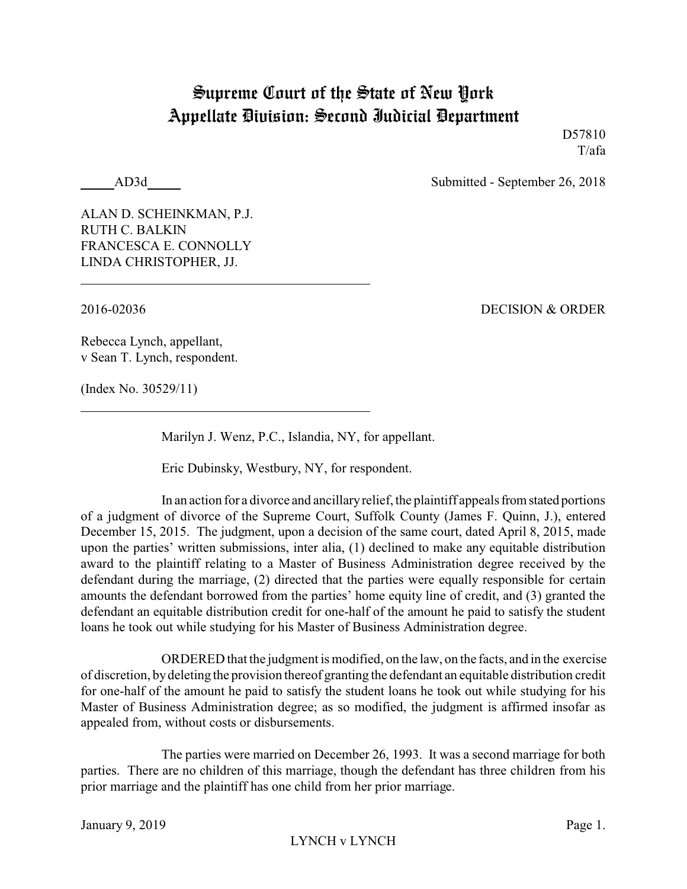## Supreme Court of the State of New York Appellate Division: Second Judicial Department

D57810 T/afa

AD3d Submitted - September 26, 2018

ALAN D. SCHEINKMAN, P.J. RUTH C. BALKIN FRANCESCA E. CONNOLLY LINDA CHRISTOPHER, JJ.

2016-02036 DECISION & ORDER

Rebecca Lynch, appellant, v Sean T. Lynch, respondent.

(Index No. 30529/11)

Marilyn J. Wenz, P.C., Islandia, NY, for appellant.

Eric Dubinsky, Westbury, NY, for respondent.

In an action for a divorce and ancillary relief, the plaintiff appeals from stated portions of a judgment of divorce of the Supreme Court, Suffolk County (James F. Quinn, J.), entered December 15, 2015. The judgment, upon a decision of the same court, dated April 8, 2015, made upon the parties' written submissions, inter alia, (1) declined to make any equitable distribution award to the plaintiff relating to a Master of Business Administration degree received by the defendant during the marriage, (2) directed that the parties were equally responsible for certain amounts the defendant borrowed from the parties' home equity line of credit, and (3) granted the defendant an equitable distribution credit for one-half of the amount he paid to satisfy the student loans he took out while studying for his Master of Business Administration degree.

ORDERED that the judgment is modified, on the law, on the facts, and in the exercise of discretion, bydeleting the provision thereof granting the defendant an equitable distribution credit for one-half of the amount he paid to satisfy the student loans he took out while studying for his Master of Business Administration degree; as so modified, the judgment is affirmed insofar as appealed from, without costs or disbursements.

The parties were married on December 26, 1993. It was a second marriage for both parties. There are no children of this marriage, though the defendant has three children from his prior marriage and the plaintiff has one child from her prior marriage.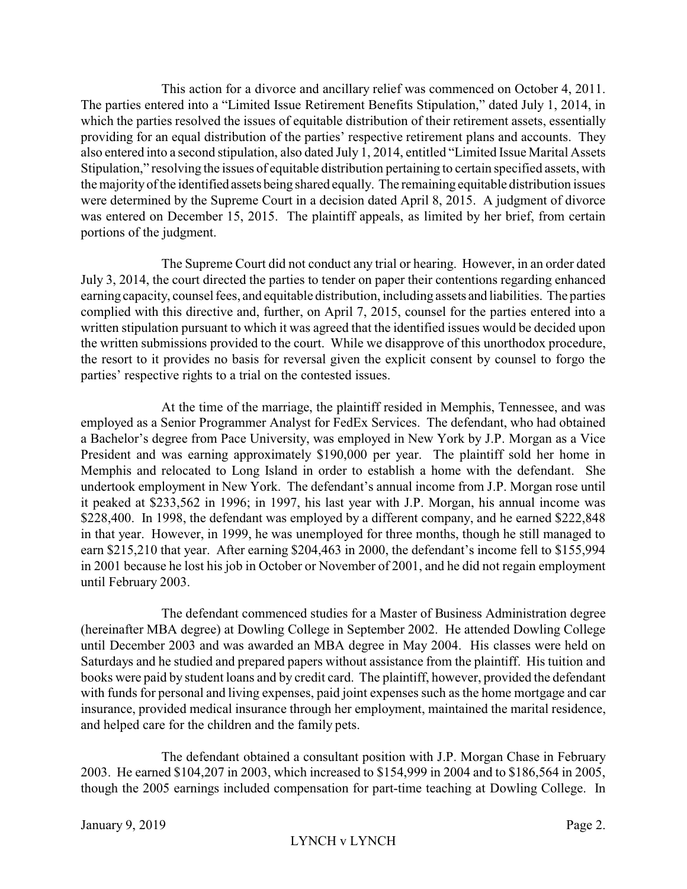This action for a divorce and ancillary relief was commenced on October 4, 2011. The parties entered into a "Limited Issue Retirement Benefits Stipulation," dated July 1, 2014, in which the parties resolved the issues of equitable distribution of their retirement assets, essentially providing for an equal distribution of the parties' respective retirement plans and accounts. They also entered into a second stipulation, also dated July 1, 2014, entitled "Limited Issue Marital Assets Stipulation," resolving the issues of equitable distribution pertaining to certain specified assets, with the majorityof the identified assets being shared equally. The remaining equitable distribution issues were determined by the Supreme Court in a decision dated April 8, 2015. A judgment of divorce was entered on December 15, 2015. The plaintiff appeals, as limited by her brief, from certain portions of the judgment.

The Supreme Court did not conduct any trial or hearing. However, in an order dated July 3, 2014, the court directed the parties to tender on paper their contentions regarding enhanced earning capacity, counsel fees, and equitable distribution, including assets and liabilities. The parties complied with this directive and, further, on April 7, 2015, counsel for the parties entered into a written stipulation pursuant to which it was agreed that the identified issues would be decided upon the written submissions provided to the court. While we disapprove of this unorthodox procedure, the resort to it provides no basis for reversal given the explicit consent by counsel to forgo the parties' respective rights to a trial on the contested issues.

At the time of the marriage, the plaintiff resided in Memphis, Tennessee, and was employed as a Senior Programmer Analyst for FedEx Services. The defendant, who had obtained a Bachelor's degree from Pace University, was employed in New York by J.P. Morgan as a Vice President and was earning approximately \$190,000 per year. The plaintiff sold her home in Memphis and relocated to Long Island in order to establish a home with the defendant. She undertook employment in New York. The defendant's annual income from J.P. Morgan rose until it peaked at \$233,562 in 1996; in 1997, his last year with J.P. Morgan, his annual income was \$228,400. In 1998, the defendant was employed by a different company, and he earned \$222,848 in that year. However, in 1999, he was unemployed for three months, though he still managed to earn \$215,210 that year. After earning \$204,463 in 2000, the defendant's income fell to \$155,994 in 2001 because he lost his job in October or November of 2001, and he did not regain employment until February 2003.

The defendant commenced studies for a Master of Business Administration degree (hereinafter MBA degree) at Dowling College in September 2002. He attended Dowling College until December 2003 and was awarded an MBA degree in May 2004. His classes were held on Saturdays and he studied and prepared papers without assistance from the plaintiff. His tuition and books were paid by student loans and by credit card. The plaintiff, however, provided the defendant with funds for personal and living expenses, paid joint expenses such as the home mortgage and car insurance, provided medical insurance through her employment, maintained the marital residence, and helped care for the children and the family pets.

The defendant obtained a consultant position with J.P. Morgan Chase in February 2003. He earned \$104,207 in 2003, which increased to \$154,999 in 2004 and to \$186,564 in 2005, though the 2005 earnings included compensation for part-time teaching at Dowling College. In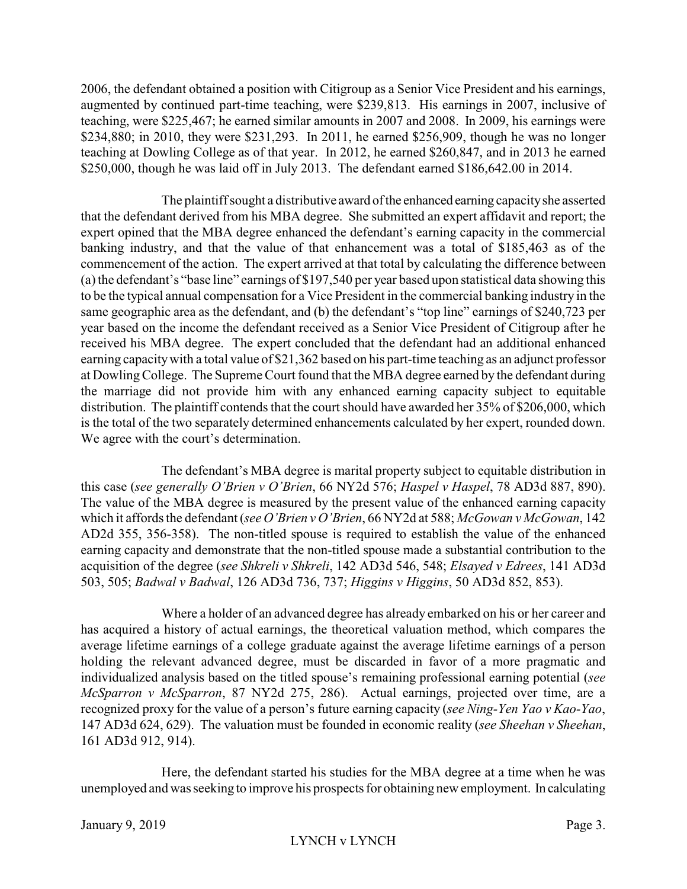2006, the defendant obtained a position with Citigroup as a Senior Vice President and his earnings, augmented by continued part-time teaching, were \$239,813. His earnings in 2007, inclusive of teaching, were \$225,467; he earned similar amounts in 2007 and 2008. In 2009, his earnings were \$234,880; in 2010, they were \$231,293. In 2011, he earned \$256,909, though he was no longer teaching at Dowling College as of that year. In 2012, he earned \$260,847, and in 2013 he earned \$250,000, though he was laid off in July 2013. The defendant earned \$186,642.00 in 2014.

The plaintiff sought a distributive award ofthe enhanced earning capacityshe asserted that the defendant derived from his MBA degree. She submitted an expert affidavit and report; the expert opined that the MBA degree enhanced the defendant's earning capacity in the commercial banking industry, and that the value of that enhancement was a total of \$185,463 as of the commencement of the action. The expert arrived at that total by calculating the difference between (a) the defendant's "base line" earnings of \$197,540 per year based upon statistical data showing this to be the typical annual compensation for a Vice President in the commercial banking industry in the same geographic area as the defendant, and (b) the defendant's "top line" earnings of \$240,723 per year based on the income the defendant received as a Senior Vice President of Citigroup after he received his MBA degree. The expert concluded that the defendant had an additional enhanced earning capacitywith a total value of \$21,362 based on his part-time teaching as an adjunct professor at Dowling College. The Supreme Court found that the MBA degree earned by the defendant during the marriage did not provide him with any enhanced earning capacity subject to equitable distribution. The plaintiff contends that the court should have awarded her 35% of \$206,000, which is the total of the two separately determined enhancements calculated by her expert, rounded down. We agree with the court's determination.

The defendant's MBA degree is marital property subject to equitable distribution in this case (*see generally O'Brien v O'Brien*, 66 NY2d 576; *Haspel v Haspel*, 78 AD3d 887, 890). The value of the MBA degree is measured by the present value of the enhanced earning capacity which it affords the defendant (*see O'Brien v O'Brien*, 66 NY2d at 588; *McGowan v McGowan*, 142 AD2d 355, 356-358). The non-titled spouse is required to establish the value of the enhanced earning capacity and demonstrate that the non-titled spouse made a substantial contribution to the acquisition of the degree (*see Shkreli v Shkreli*, 142 AD3d 546, 548; *Elsayed v Edrees*, 141 AD3d 503, 505; *Badwal v Badwal*, 126 AD3d 736, 737; *Higgins v Higgins*, 50 AD3d 852, 853).

Where a holder of an advanced degree has already embarked on his or her career and has acquired a history of actual earnings, the theoretical valuation method, which compares the average lifetime earnings of a college graduate against the average lifetime earnings of a person holding the relevant advanced degree, must be discarded in favor of a more pragmatic and individualized analysis based on the titled spouse's remaining professional earning potential (*see McSparron v McSparron*, 87 NY2d 275, 286). Actual earnings, projected over time, are a recognized proxy for the value of a person's future earning capacity (*see Ning-Yen Yao v Kao-Yao*, 147 AD3d 624, 629). The valuation must be founded in economic reality (*see Sheehan v Sheehan*, 161 AD3d 912, 914).

Here, the defendant started his studies for the MBA degree at a time when he was unemployed and was seeking to improve his prospects for obtaining new employment. In calculating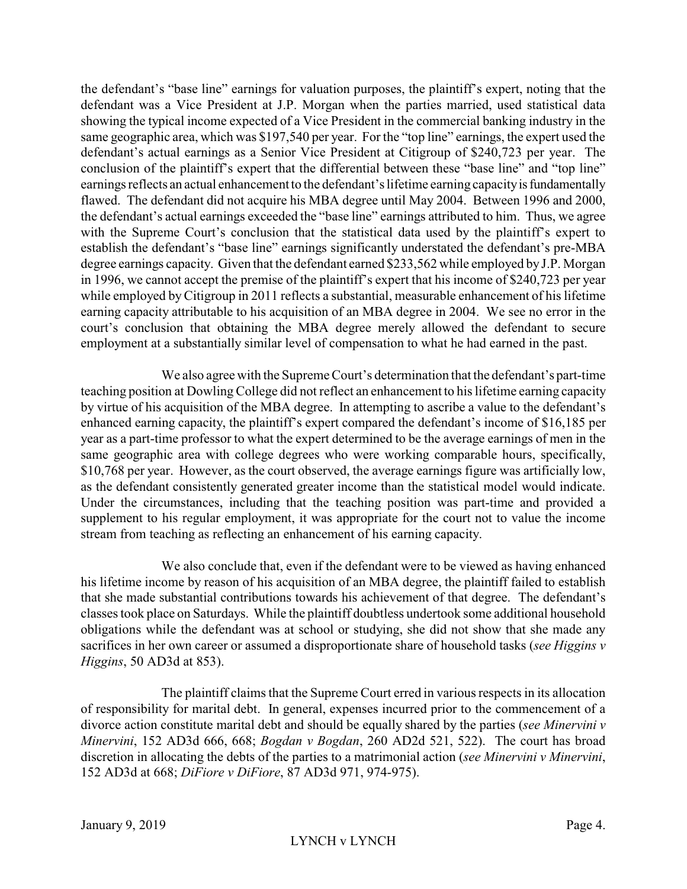the defendant's "base line" earnings for valuation purposes, the plaintiff's expert, noting that the defendant was a Vice President at J.P. Morgan when the parties married, used statistical data showing the typical income expected of a Vice President in the commercial banking industry in the same geographic area, which was \$197,540 per year. For the "top line" earnings, the expert used the defendant's actual earnings as a Senior Vice President at Citigroup of \$240,723 per year. The conclusion of the plaintiff's expert that the differential between these "base line" and "top line" earnings reflects an actual enhancement to the defendant's lifetime earning capacity is fundamentally flawed. The defendant did not acquire his MBA degree until May 2004. Between 1996 and 2000, the defendant's actual earnings exceeded the "base line" earnings attributed to him. Thus, we agree with the Supreme Court's conclusion that the statistical data used by the plaintiff's expert to establish the defendant's "base line" earnings significantly understated the defendant's pre-MBA degree earnings capacity. Given that the defendant earned \$233,562 while employed by J.P. Morgan in 1996, we cannot accept the premise of the plaintiff's expert that his income of \$240,723 per year while employed by Citigroup in 2011 reflects a substantial, measurable enhancement of his lifetime earning capacity attributable to his acquisition of an MBA degree in 2004. We see no error in the court's conclusion that obtaining the MBA degree merely allowed the defendant to secure employment at a substantially similar level of compensation to what he had earned in the past.

We also agree with the Supreme Court's determination that the defendant's part-time teaching position at Dowling College did not reflect an enhancement to his lifetime earning capacity by virtue of his acquisition of the MBA degree. In attempting to ascribe a value to the defendant's enhanced earning capacity, the plaintiff's expert compared the defendant's income of \$16,185 per year as a part-time professor to what the expert determined to be the average earnings of men in the same geographic area with college degrees who were working comparable hours, specifically, \$10,768 per year. However, as the court observed, the average earnings figure was artificially low, as the defendant consistently generated greater income than the statistical model would indicate. Under the circumstances, including that the teaching position was part-time and provided a supplement to his regular employment, it was appropriate for the court not to value the income stream from teaching as reflecting an enhancement of his earning capacity.

We also conclude that, even if the defendant were to be viewed as having enhanced his lifetime income by reason of his acquisition of an MBA degree, the plaintiff failed to establish that she made substantial contributions towards his achievement of that degree. The defendant's classes took place on Saturdays. While the plaintiff doubtless undertook some additional household obligations while the defendant was at school or studying, she did not show that she made any sacrifices in her own career or assumed a disproportionate share of household tasks (*see Higgins v Higgins*, 50 AD3d at 853).

The plaintiff claims that the Supreme Court erred in various respects in its allocation of responsibility for marital debt. In general, expenses incurred prior to the commencement of a divorce action constitute marital debt and should be equally shared by the parties (*see Minervini v Minervini*, 152 AD3d 666, 668; *Bogdan v Bogdan*, 260 AD2d 521, 522). The court has broad discretion in allocating the debts of the parties to a matrimonial action (*see Minervini v Minervini*, 152 AD3d at 668; *DiFiore v DiFiore*, 87 AD3d 971, 974-975).